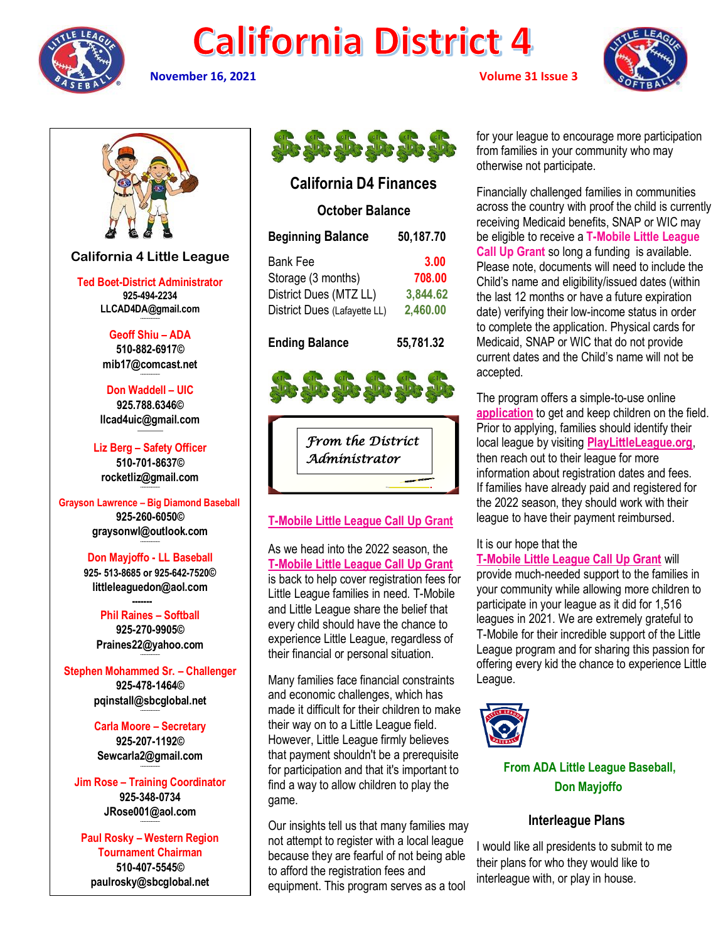

# **California District 4**



**November 16, 2021 Volume 31 Issue 3**



## **California D4 Finances**

## **October Balance**

| <b>Beginning Balance</b>     | 50,187.70 |
|------------------------------|-----------|
| Bank Fee                     | 3.00      |
| Storage (3 months)           | 708.00    |
| District Dues (MTZ LL)       | 3,844.62  |
| District Dues (Lafayette LL) | 2,460.00  |
|                              |           |

**Ending Balance 55,781.32**





## **[T-Mobile Little League Call Up Grant](http://click.email.littleleague.org/?qs=69431b3c1d02220f33b3adff0d9bf9f50c14946472ff8c4b8baf534a7a570c4cd4af2235b7fffc0ae2f20dd87319203f3e5531fbf98dd9ff)**

As we head into the 2022 season, the **[T-Mobile Little League Call Up Grant](http://click.email.littleleague.org/?qs=69431b3c1d02220f33b3adff0d9bf9f50c14946472ff8c4b8baf534a7a570c4cd4af2235b7fffc0ae2f20dd87319203f3e5531fbf98dd9ff)** is back to help cover registration fees for Little League families in need. T-Mobile and Little League share the belief that every child should have the chance to experience Little League, regardless of their financial or personal situation.

Many families face financial constraints and economic challenges, which has made it difficult for their children to make their way on to a Little League field. However, Little League firmly believes that payment shouldn't be a prerequisite for participation and that it's important to find a way to allow children to play the game.

Our insights tell us that many families may not attempt to register with a local league because they are fearful of not being able to afford the registration fees and equipment. This program serves as a tool

for your league to encourage more participation from families in your community who may otherwise not participate.

Financially challenged families in communities across the country with proof the child is currently receiving Medicaid benefits, SNAP or WIC may be eligible to receive a **T-Mobile Little League Call Up Grant** so long a funding is available. Please note, documents will need to include the Child's name and eligibility/issued dates (within the last 12 months or have a future expiration date) verifying their low-income status in order to complete the application. Physical cards for Medicaid, SNAP or WIC that do not provide current dates and the Child's name will not be accepted.

The program offers a simple-to-use online **[application](http://click.email.littleleague.org/?qs=69431b3c1d02220fc16e0677ca4bb50c5662798f70e09c21e5c4734aa6189ff184581d81a16e5fbbcc1d22ab66a53d2e3206e9a086891734)** to get and keep children on the field. Prior to applying, families should identify their local league by visiting **[PlayLittleLeague.org](http://click.email.littleleague.org/?qs=69431b3c1d02220f1e5365c7864d6a9e1c61fb8e470b232ee4fb1db7e8fc49d3e7a17ef313d6c4247071ea0b23ef20347a1a32fcd9bcaa9d)**, then reach out to their league for more information about registration dates and fees. If families have already paid and registered for the 2022 season, they should work with their league to have their payment reimbursed.

It is our hope that the

**[T-Mobile Little League Call Up Grant](http://click.email.littleleague.org/?qs=69431b3c1d02220f33b3adff0d9bf9f50c14946472ff8c4b8baf534a7a570c4cd4af2235b7fffc0ae2f20dd87319203f3e5531fbf98dd9ff)** will provide much-needed support to the families in your community while allowing more children to participate in your league as it did for 1,516 leagues in 2021. We are extremely grateful to T-Mobile for their incredible support of the Little League program and for sharing this passion for offering every kid the chance to experience Little League.



 **From ADA Little League Baseball, Don Mayjoffo**

## **Interleague Plans**

I would like all presidents to submit to me their plans for who they would like to interleague with, or play in house.

## **California 4 Little League**

**Ted Boet-District Administrator 925-494-2234 LLCAD4DA@gmail.com --------------------**

> **Geoff Shiu – ADA 510-882-6917© [mib17@comcast.net](mailto:mib17@comcast.net) --------------------**

**Don Waddell – UIC 925.788.6346© [llcad4uic@gmail.com](mailto:llcad4uic@gmail.com)**

**Liz Berg – Safety Officer 510-701-8637© [rocketliz@gmail.com](mailto:rocketliz@gmail.com)**

**--------------------**

**Grayson Lawrence – Big Diamond Baseball 925-260-6050© graysonwl@outlook.com --------------------**

> **Don Mayjoffo - LL Baseball 925- 513-8685 or 925-642-7520© littleleaguedon@aol.com**

**Phil Raines – Softball 925-270-9905© [Praines22@yahoo.com](mailto:Praines22@yahoo.com)**

**--------------------**

 **-------**

**Stephen Mohammed Sr. – Challenger 925-478-1464© [pqinstall@sbcglobal.net](mailto:pqinstall@sbcglobal.net) --------------------**

> **Carla Moore – Secretary 925-207-1192© [Sewcarla2@gmail.com](mailto:Sewcarla2@gmail.com) --------------------**

**Jim Rose – Training Coordinator 925-348-0734 JRose001@aol.com --------------------**

**Paul Rosky – Western Region Tournament Chairman 510-407-5545© [paulrosky@sbcglobal.net](mailto:paulrosky@sbcglobal.net)**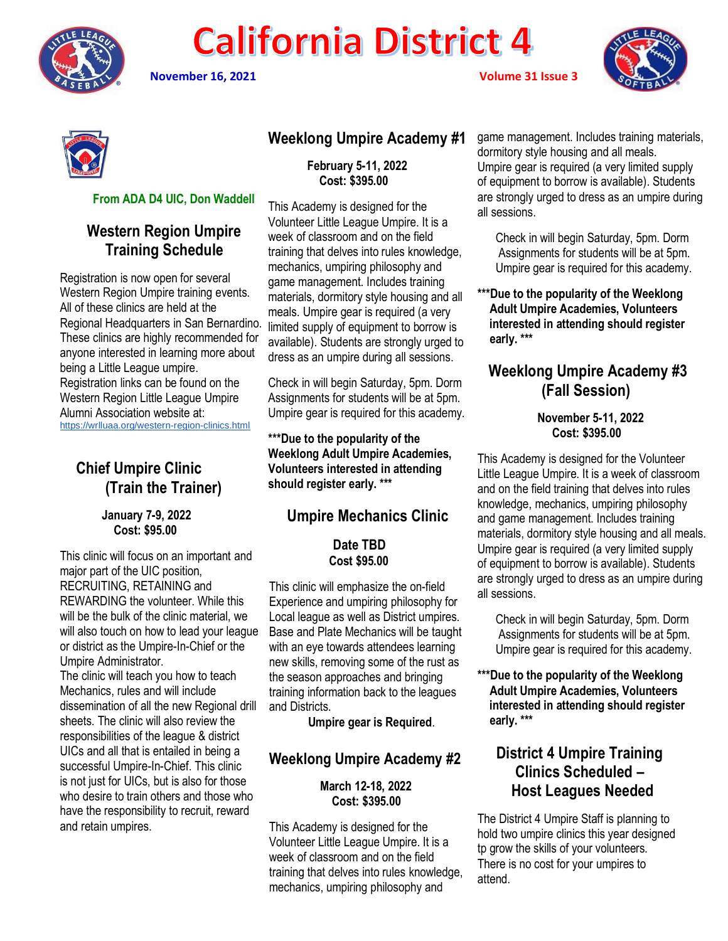

# **California District 4**

**November 16, 2021 Volume 31 Issue 3**





#### **From ADA D4 UIC, Don Waddell**

## **Western Region Umpire Training Schedule**

Registration is now open for several Western Region Umpire training events. All of these clinics are held at the Regional Headquarters in San Bernardino. These clinics are highly recommended for anyone interested in learning more about being a Little League umpire. Registration links can be found on the Western Region Little League Umpire Alumni Association website at: <https://wrlluaa.org/western-region-clinics.html>

# **Chief Umpire Clinic (Train the Trainer)**

#### **January 7-9, 2022 Cost: \$95.00**

This clinic will focus on an important and major part of the UIC position, RECRUITING, RETAINING and REWARDING the volunteer. While this will be the bulk of the clinic material, we will also touch on how to lead your league or district as the Umpire-In-Chief or the Umpire Administrator.

The clinic will teach you how to teach Mechanics, rules and will include dissemination of all the new Regional drill sheets. The clinic will also review the responsibilities of the league & district UICs and all that is entailed in being a successful Umpire-In-Chief. This clinic is not just for UICs, but is also for those who desire to train others and those who have the responsibility to recruit, reward and retain umpires.

# **Weeklong Umpire Academy #1**

 **February 5-11, 2022 Cost: \$395.00**

This Academy is designed for the Volunteer Little League Umpire. It is a week of classroom and on the field training that delves into rules knowledge, mechanics, umpiring philosophy and game management. Includes training materials, dormitory style housing and all meals. Umpire gear is required (a very limited supply of equipment to borrow is available). Students are strongly urged to dress as an umpire during all sessions.

Check in will begin Saturday, 5pm. Dorm Assignments for students will be at 5pm. Umpire gear is required for this academy.

**\*\*\*Due to the popularity of the Weeklong Adult Umpire Academies, Volunteers interested in attending should register early. \*\*\***

# **Umpire Mechanics Clinic**

#### **Date TBD Cost \$95.00**

This clinic will emphasize the on-field Experience and umpiring philosophy for Local league as well as District umpires. Base and Plate Mechanics will be taught with an eye towards attendees learning new skills, removing some of the rust as the season approaches and bringing training information back to the leagues and Districts.

**Umpire gear is Required**.

## **Weeklong Umpire Academy #2**

#### **March 12-18, 2022 Cost: \$395.00**

This Academy is designed for the Volunteer Little League Umpire. It is a week of classroom and on the field training that delves into rules knowledge, mechanics, umpiring philosophy and

game management. Includes training materials, dormitory style housing and all meals. Umpire gear is required (a very limited supply of equipment to borrow is available). Students are strongly urged to dress as an umpire during all sessions.

 Check in will begin Saturday, 5pm. Dorm Assignments for students will be at 5pm. Umpire gear is required for this academy.

**\*\*\*Due to the popularity of the Weeklong Adult Umpire Academies, Volunteers interested in attending should register early. \*\*\***

# **Weeklong Umpire Academy #3 (Fall Session)**

#### **November 5-11, 2022 Cost: \$395.00**

This Academy is designed for the Volunteer Little League Umpire. It is a week of classroom and on the field training that delves into rules knowledge, mechanics, umpiring philosophy and game management. Includes training materials, dormitory style housing and all meals. Umpire gear is required (a very limited supply of equipment to borrow is available). Students are strongly urged to dress as an umpire during all sessions.

 Check in will begin Saturday, 5pm. Dorm Assignments for students will be at 5pm. Umpire gear is required for this academy.

**\*\*\*Due to the popularity of the Weeklong Adult Umpire Academies, Volunteers interested in attending should register early. \*\*\***

# **District 4 Umpire Training Clinics Scheduled – Host Leagues Needed**

The District 4 Umpire Staff is planning to hold two umpire clinics this year designed tp grow the skills of your volunteers. There is no cost for your umpires to attend.